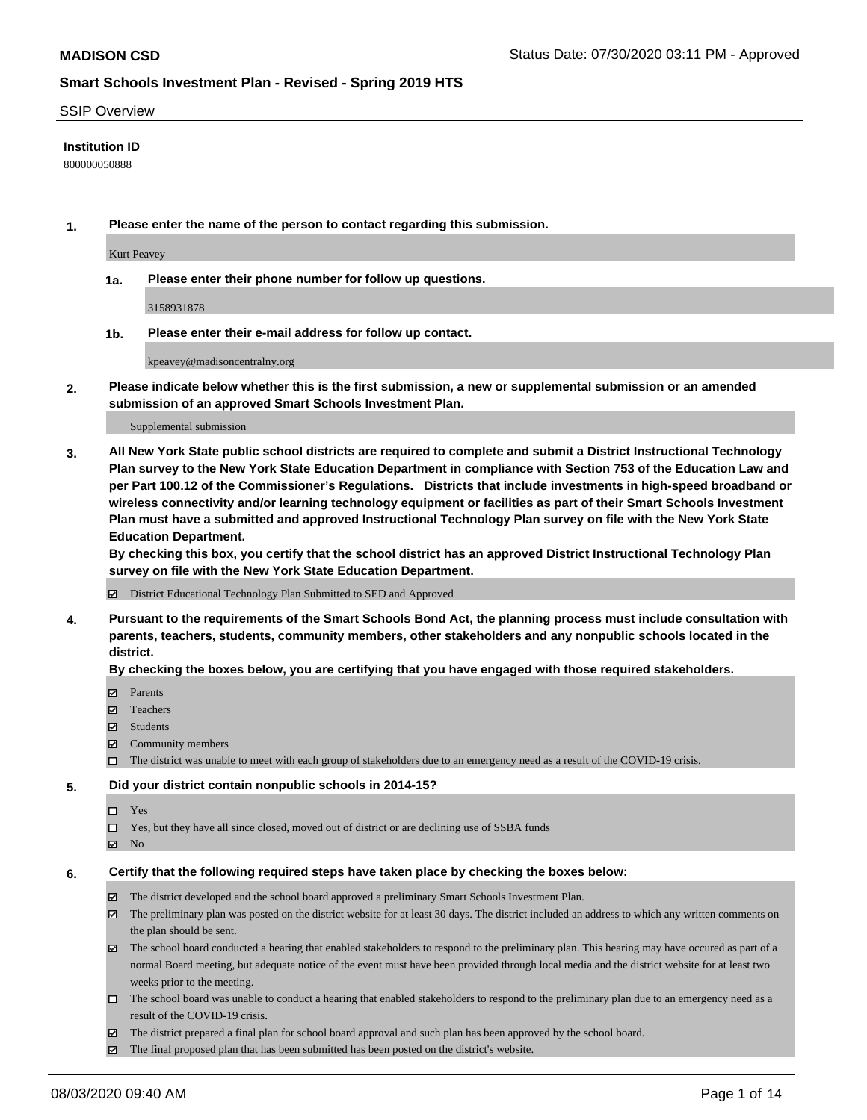### SSIP Overview

### **Institution ID**

800000050888

**1. Please enter the name of the person to contact regarding this submission.**

Kurt Peavey

**1a. Please enter their phone number for follow up questions.**

3158931878

**1b. Please enter their e-mail address for follow up contact.**

kpeavey@madisoncentralny.org

**2. Please indicate below whether this is the first submission, a new or supplemental submission or an amended submission of an approved Smart Schools Investment Plan.**

#### Supplemental submission

**3. All New York State public school districts are required to complete and submit a District Instructional Technology Plan survey to the New York State Education Department in compliance with Section 753 of the Education Law and per Part 100.12 of the Commissioner's Regulations. Districts that include investments in high-speed broadband or wireless connectivity and/or learning technology equipment or facilities as part of their Smart Schools Investment Plan must have a submitted and approved Instructional Technology Plan survey on file with the New York State Education Department.** 

**By checking this box, you certify that the school district has an approved District Instructional Technology Plan survey on file with the New York State Education Department.**

District Educational Technology Plan Submitted to SED and Approved

**4. Pursuant to the requirements of the Smart Schools Bond Act, the planning process must include consultation with parents, teachers, students, community members, other stakeholders and any nonpublic schools located in the district.** 

#### **By checking the boxes below, you are certifying that you have engaged with those required stakeholders.**

- **□** Parents
- Teachers
- Students
- $\boxtimes$  Community members
- The district was unable to meet with each group of stakeholders due to an emergency need as a result of the COVID-19 crisis.

### **5. Did your district contain nonpublic schools in 2014-15?**

- $\neg$  Yes
- Yes, but they have all since closed, moved out of district or are declining use of SSBA funds
- **Z** No

#### **6. Certify that the following required steps have taken place by checking the boxes below:**

- The district developed and the school board approved a preliminary Smart Schools Investment Plan.
- $\boxtimes$  The preliminary plan was posted on the district website for at least 30 days. The district included an address to which any written comments on the plan should be sent.
- $\boxtimes$  The school board conducted a hearing that enabled stakeholders to respond to the preliminary plan. This hearing may have occured as part of a normal Board meeting, but adequate notice of the event must have been provided through local media and the district website for at least two weeks prior to the meeting.
- The school board was unable to conduct a hearing that enabled stakeholders to respond to the preliminary plan due to an emergency need as a result of the COVID-19 crisis.
- The district prepared a final plan for school board approval and such plan has been approved by the school board.
- $\boxtimes$  The final proposed plan that has been submitted has been posted on the district's website.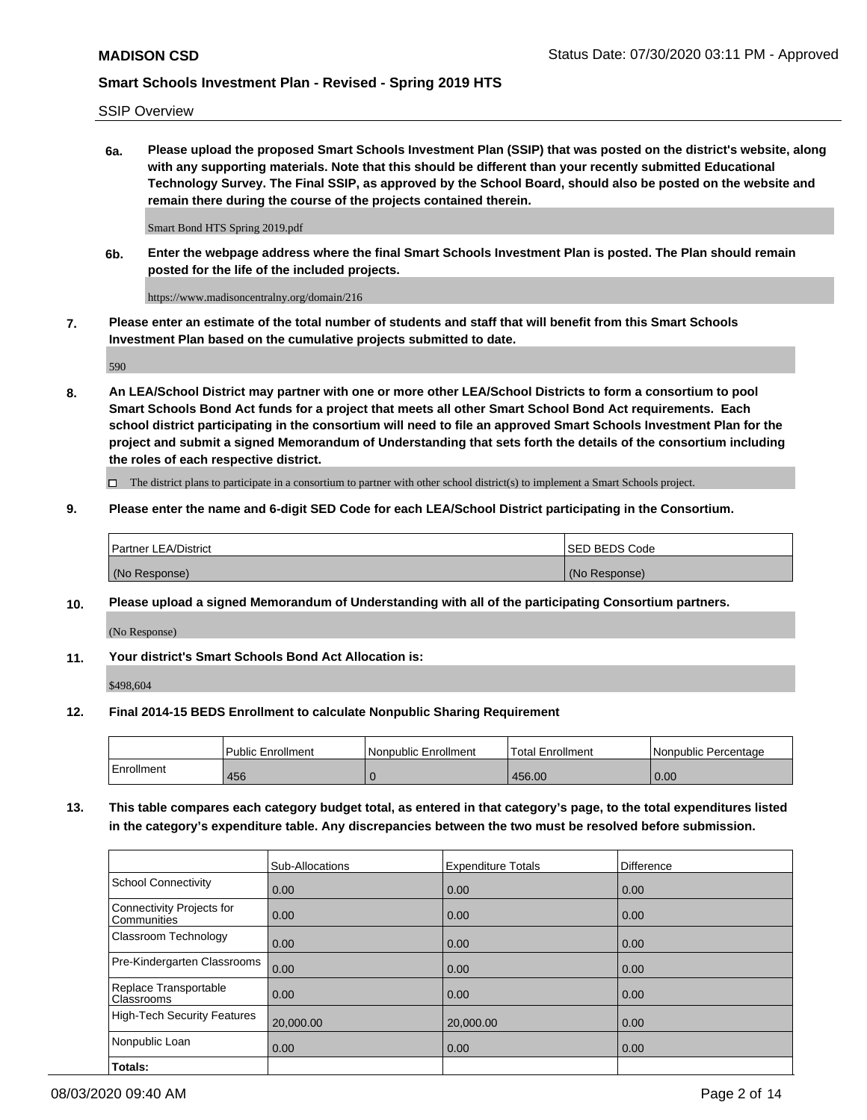SSIP Overview

**6a. Please upload the proposed Smart Schools Investment Plan (SSIP) that was posted on the district's website, along with any supporting materials. Note that this should be different than your recently submitted Educational Technology Survey. The Final SSIP, as approved by the School Board, should also be posted on the website and remain there during the course of the projects contained therein.**

Smart Bond HTS Spring 2019.pdf

**6b. Enter the webpage address where the final Smart Schools Investment Plan is posted. The Plan should remain posted for the life of the included projects.**

https://www.madisoncentralny.org/domain/216

**7. Please enter an estimate of the total number of students and staff that will benefit from this Smart Schools Investment Plan based on the cumulative projects submitted to date.**

590

**8. An LEA/School District may partner with one or more other LEA/School Districts to form a consortium to pool Smart Schools Bond Act funds for a project that meets all other Smart School Bond Act requirements. Each school district participating in the consortium will need to file an approved Smart Schools Investment Plan for the project and submit a signed Memorandum of Understanding that sets forth the details of the consortium including the roles of each respective district.**

 $\Box$  The district plans to participate in a consortium to partner with other school district(s) to implement a Smart Schools project.

### **9. Please enter the name and 6-digit SED Code for each LEA/School District participating in the Consortium.**

| <b>Partner LEA/District</b> | ISED BEDS Code |
|-----------------------------|----------------|
| (No Response)               | (No Response)  |

## **10. Please upload a signed Memorandum of Understanding with all of the participating Consortium partners.**

(No Response)

**11. Your district's Smart Schools Bond Act Allocation is:**

\$498,604

## **12. Final 2014-15 BEDS Enrollment to calculate Nonpublic Sharing Requirement**

|            | Public Enrollment | Nonpublic Enrollment | Total Enrollment | Nonpublic Percentage |
|------------|-------------------|----------------------|------------------|----------------------|
| Enrollment | 456               |                      | 456.00           | 0.00                 |

**13. This table compares each category budget total, as entered in that category's page, to the total expenditures listed in the category's expenditure table. Any discrepancies between the two must be resolved before submission.**

|                                          | <b>Sub-Allocations</b> | <b>Expenditure Totals</b> | <b>Difference</b> |
|------------------------------------------|------------------------|---------------------------|-------------------|
| <b>School Connectivity</b>               | 0.00                   | 0.00                      | 0.00              |
| Connectivity Projects for<br>Communities | 0.00                   | 0.00                      | 0.00              |
| Classroom Technology                     | 0.00                   | 0.00                      | 0.00              |
| Pre-Kindergarten Classrooms              | 0.00                   | 0.00                      | 0.00              |
| Replace Transportable<br>Classrooms      | 0.00                   | 0.00                      | 0.00              |
| <b>High-Tech Security Features</b>       | 20,000.00              | 20,000.00                 | 0.00              |
| Nonpublic Loan                           | 0.00                   | 0.00                      | 0.00              |
| Totals:                                  |                        |                           |                   |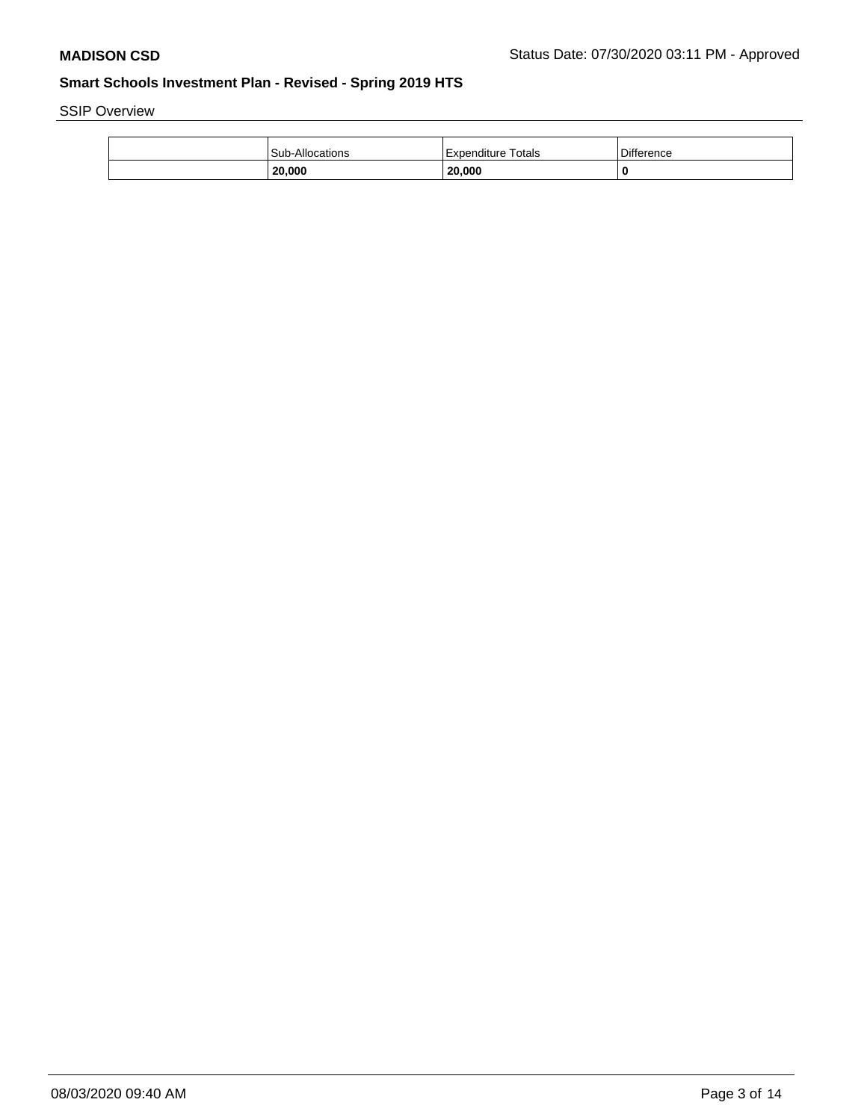SSIP Overview

| Sub-Allocations | Expenditure Totals               | <b>Difference</b> |
|-----------------|----------------------------------|-------------------|
| 20,000          | 20,000<br>and the control of the |                   |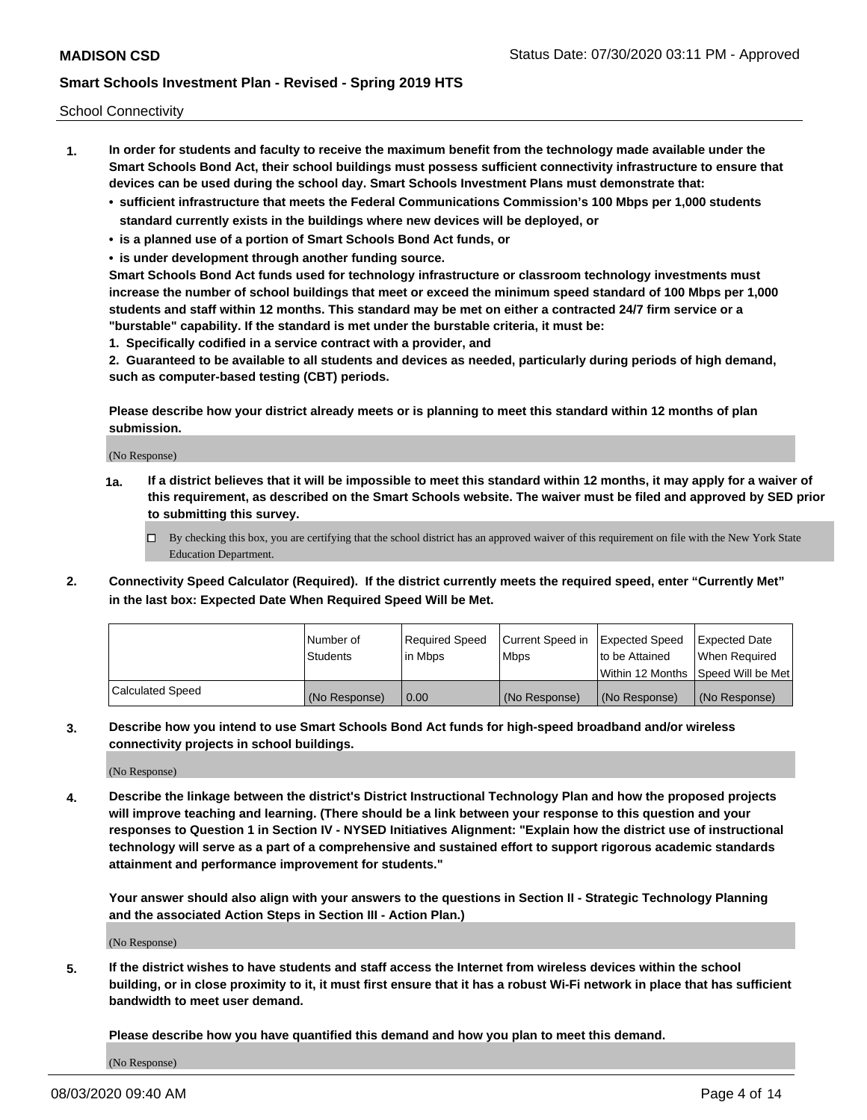School Connectivity

- **1. In order for students and faculty to receive the maximum benefit from the technology made available under the Smart Schools Bond Act, their school buildings must possess sufficient connectivity infrastructure to ensure that devices can be used during the school day. Smart Schools Investment Plans must demonstrate that:**
	- **• sufficient infrastructure that meets the Federal Communications Commission's 100 Mbps per 1,000 students standard currently exists in the buildings where new devices will be deployed, or**
	- **• is a planned use of a portion of Smart Schools Bond Act funds, or**
	- **• is under development through another funding source.**

**Smart Schools Bond Act funds used for technology infrastructure or classroom technology investments must increase the number of school buildings that meet or exceed the minimum speed standard of 100 Mbps per 1,000 students and staff within 12 months. This standard may be met on either a contracted 24/7 firm service or a "burstable" capability. If the standard is met under the burstable criteria, it must be:**

**1. Specifically codified in a service contract with a provider, and**

**2. Guaranteed to be available to all students and devices as needed, particularly during periods of high demand, such as computer-based testing (CBT) periods.**

**Please describe how your district already meets or is planning to meet this standard within 12 months of plan submission.**

(No Response)

**1a. If a district believes that it will be impossible to meet this standard within 12 months, it may apply for a waiver of this requirement, as described on the Smart Schools website. The waiver must be filed and approved by SED prior to submitting this survey.**

 $\Box$  By checking this box, you are certifying that the school district has an approved waiver of this requirement on file with the New York State Education Department.

**2. Connectivity Speed Calculator (Required). If the district currently meets the required speed, enter "Currently Met" in the last box: Expected Date When Required Speed Will be Met.**

|                  | l Number of     | Required Speed | Current Speed in | Expected Speed  | Expected Date                           |
|------------------|-----------------|----------------|------------------|-----------------|-----------------------------------------|
|                  | <b>Students</b> | In Mbps        | l Mbps           | to be Attained  | When Required                           |
|                  |                 |                |                  |                 | l Within 12 Months ISpeed Will be Met l |
| Calculated Speed | (No Response)   | 0.00           | (No Response)    | l (No Response) | l (No Response)                         |

**3. Describe how you intend to use Smart Schools Bond Act funds for high-speed broadband and/or wireless connectivity projects in school buildings.**

(No Response)

**4. Describe the linkage between the district's District Instructional Technology Plan and how the proposed projects will improve teaching and learning. (There should be a link between your response to this question and your responses to Question 1 in Section IV - NYSED Initiatives Alignment: "Explain how the district use of instructional technology will serve as a part of a comprehensive and sustained effort to support rigorous academic standards attainment and performance improvement for students."** 

**Your answer should also align with your answers to the questions in Section II - Strategic Technology Planning and the associated Action Steps in Section III - Action Plan.)**

(No Response)

**5. If the district wishes to have students and staff access the Internet from wireless devices within the school building, or in close proximity to it, it must first ensure that it has a robust Wi-Fi network in place that has sufficient bandwidth to meet user demand.**

**Please describe how you have quantified this demand and how you plan to meet this demand.**

(No Response)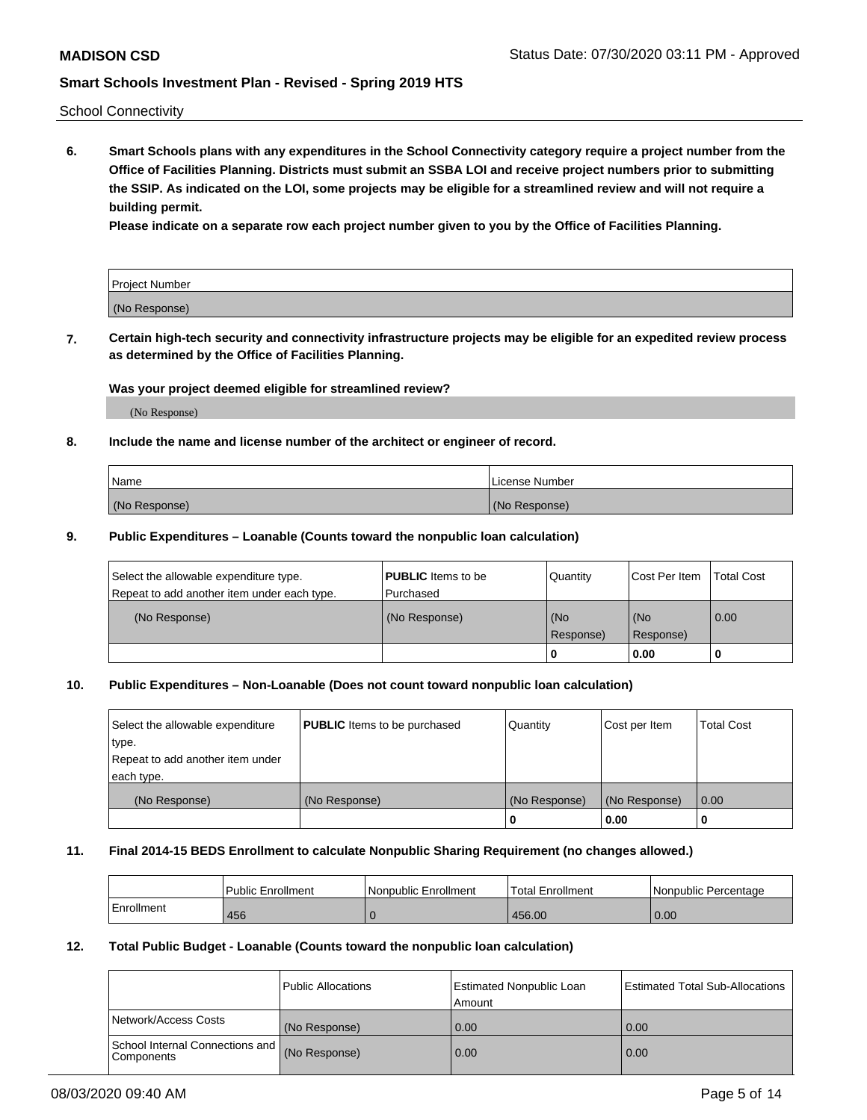School Connectivity

**6. Smart Schools plans with any expenditures in the School Connectivity category require a project number from the Office of Facilities Planning. Districts must submit an SSBA LOI and receive project numbers prior to submitting the SSIP. As indicated on the LOI, some projects may be eligible for a streamlined review and will not require a building permit.**

**Please indicate on a separate row each project number given to you by the Office of Facilities Planning.**

| Project Number |  |
|----------------|--|
| (No Response)  |  |

**7. Certain high-tech security and connectivity infrastructure projects may be eligible for an expedited review process as determined by the Office of Facilities Planning.**

### **Was your project deemed eligible for streamlined review?**

(No Response)

### **8. Include the name and license number of the architect or engineer of record.**

| Name          | License Number |
|---------------|----------------|
| (No Response) | (No Response)  |

### **9. Public Expenditures – Loanable (Counts toward the nonpublic loan calculation)**

| Select the allowable expenditure type.<br>Repeat to add another item under each type. | <b>PUBLIC</b> Items to be<br>l Purchased | Quantity         | l Cost Per Item  | <b>Total Cost</b> |
|---------------------------------------------------------------------------------------|------------------------------------------|------------------|------------------|-------------------|
| (No Response)                                                                         | (No Response)                            | (No<br>Response) | (No<br>Response) | 0.00              |
|                                                                                       |                                          | 0                | 0.00             |                   |

## **10. Public Expenditures – Non-Loanable (Does not count toward nonpublic loan calculation)**

| Select the allowable expenditure<br>type.      | <b>PUBLIC</b> Items to be purchased | Quantity      | Cost per Item | <b>Total Cost</b> |
|------------------------------------------------|-------------------------------------|---------------|---------------|-------------------|
| Repeat to add another item under<br>each type. |                                     |               |               |                   |
| (No Response)                                  | (No Response)                       | (No Response) | (No Response) | 0.00              |
|                                                |                                     |               | 0.00          |                   |

#### **11. Final 2014-15 BEDS Enrollment to calculate Nonpublic Sharing Requirement (no changes allowed.)**

|            | l Public Enrollment | Nonpublic Enrollment | <b>Total Enrollment</b> | l Nonpublic Percentage |
|------------|---------------------|----------------------|-------------------------|------------------------|
| Enrollment | 456                 |                      | 456.00                  | 0.00                   |

### **12. Total Public Budget - Loanable (Counts toward the nonpublic loan calculation)**

|                                                      | Public Allocations | <b>Estimated Nonpublic Loan</b><br>Amount | Estimated Total Sub-Allocations |
|------------------------------------------------------|--------------------|-------------------------------------------|---------------------------------|
| Network/Access Costs                                 | (No Response)      | 0.00                                      | 0.00                            |
| School Internal Connections and<br><b>Components</b> | (No Response)      | 0.00                                      | 0.00                            |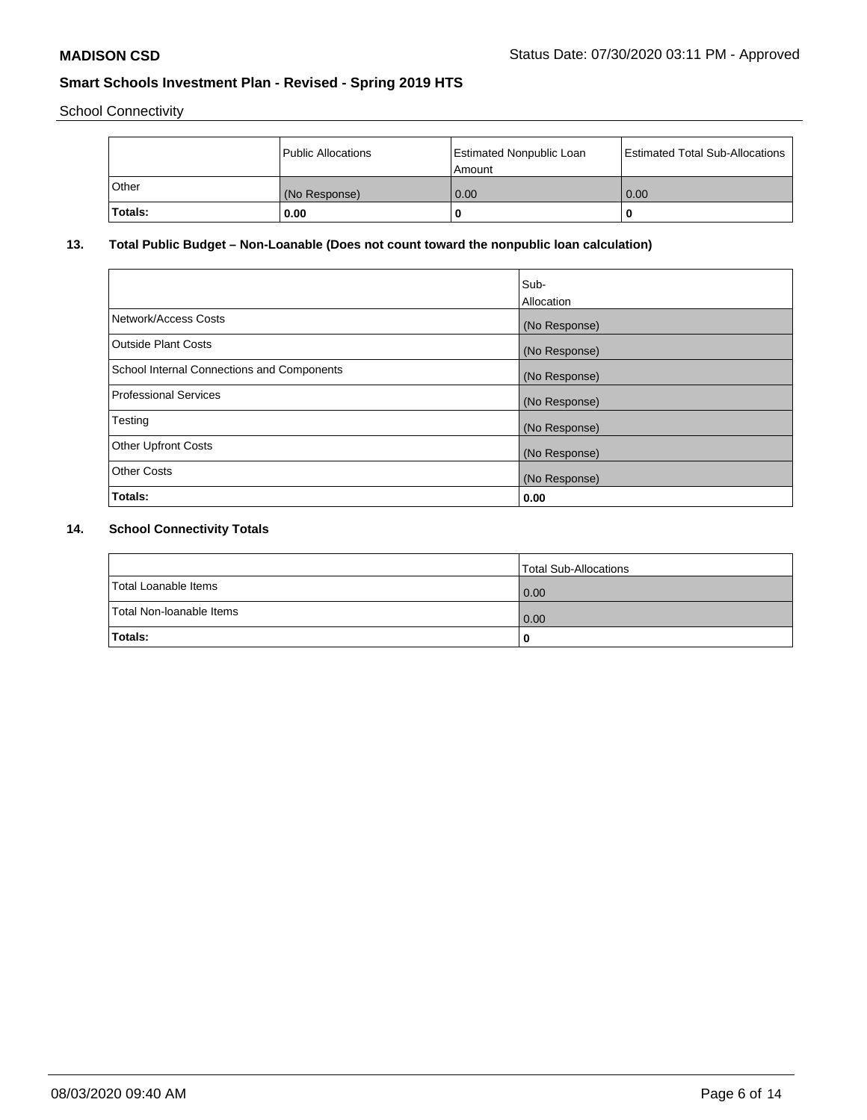School Connectivity

|         | Public Allocations | <b>Estimated Nonpublic Loan</b><br>l Amount | <b>Estimated Total Sub-Allocations</b> |
|---------|--------------------|---------------------------------------------|----------------------------------------|
| l Other | (No Response)      | 0.00                                        | 0.00                                   |
| Totals: | 0.00               | 0                                           |                                        |

## **13. Total Public Budget – Non-Loanable (Does not count toward the nonpublic loan calculation)**

|                                                   | Sub-<br>Allocation |
|---------------------------------------------------|--------------------|
| Network/Access Costs                              | (No Response)      |
| Outside Plant Costs                               | (No Response)      |
| <b>School Internal Connections and Components</b> | (No Response)      |
| Professional Services                             | (No Response)      |
| Testing                                           | (No Response)      |
| <b>Other Upfront Costs</b>                        | (No Response)      |
| <b>Other Costs</b>                                | (No Response)      |
| Totals:                                           | 0.00               |

## **14. School Connectivity Totals**

|                          | Total Sub-Allocations |
|--------------------------|-----------------------|
| Total Loanable Items     | 0.00                  |
| Total Non-Ioanable Items | 0.00                  |
| Totals:                  | 0                     |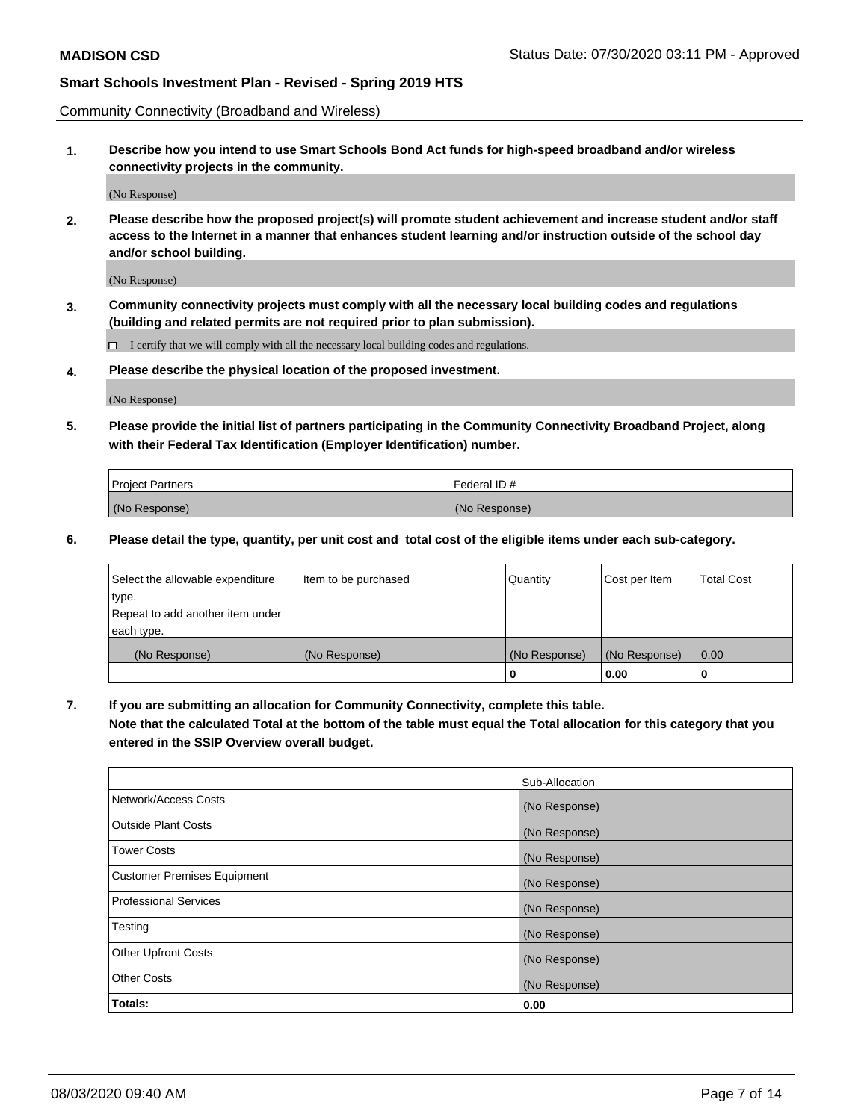Community Connectivity (Broadband and Wireless)

**1. Describe how you intend to use Smart Schools Bond Act funds for high-speed broadband and/or wireless connectivity projects in the community.**

(No Response)

**2. Please describe how the proposed project(s) will promote student achievement and increase student and/or staff access to the Internet in a manner that enhances student learning and/or instruction outside of the school day and/or school building.**

(No Response)

**3. Community connectivity projects must comply with all the necessary local building codes and regulations (building and related permits are not required prior to plan submission).**

 $\Box$  I certify that we will comply with all the necessary local building codes and regulations.

**4. Please describe the physical location of the proposed investment.**

(No Response)

**5. Please provide the initial list of partners participating in the Community Connectivity Broadband Project, along with their Federal Tax Identification (Employer Identification) number.**

| <b>Project Partners</b> | l Federal ID # |
|-------------------------|----------------|
| (No Response)           | (No Response)  |

**6. Please detail the type, quantity, per unit cost and total cost of the eligible items under each sub-category.**

| Select the allowable expenditure | Item to be purchased | Quantity      | Cost per Item | <b>Total Cost</b> |
|----------------------------------|----------------------|---------------|---------------|-------------------|
| type.                            |                      |               |               |                   |
| Repeat to add another item under |                      |               |               |                   |
| each type.                       |                      |               |               |                   |
| (No Response)                    | (No Response)        | (No Response) | (No Response) | 0.00              |
|                                  |                      | U             | 0.00          | -0                |

**7. If you are submitting an allocation for Community Connectivity, complete this table.**

**Note that the calculated Total at the bottom of the table must equal the Total allocation for this category that you entered in the SSIP Overview overall budget.**

|                                    | Sub-Allocation |
|------------------------------------|----------------|
| Network/Access Costs               | (No Response)  |
| Outside Plant Costs                | (No Response)  |
| <b>Tower Costs</b>                 | (No Response)  |
| <b>Customer Premises Equipment</b> | (No Response)  |
| <b>Professional Services</b>       | (No Response)  |
| Testing                            | (No Response)  |
| <b>Other Upfront Costs</b>         | (No Response)  |
| <b>Other Costs</b>                 | (No Response)  |
| Totals:                            | 0.00           |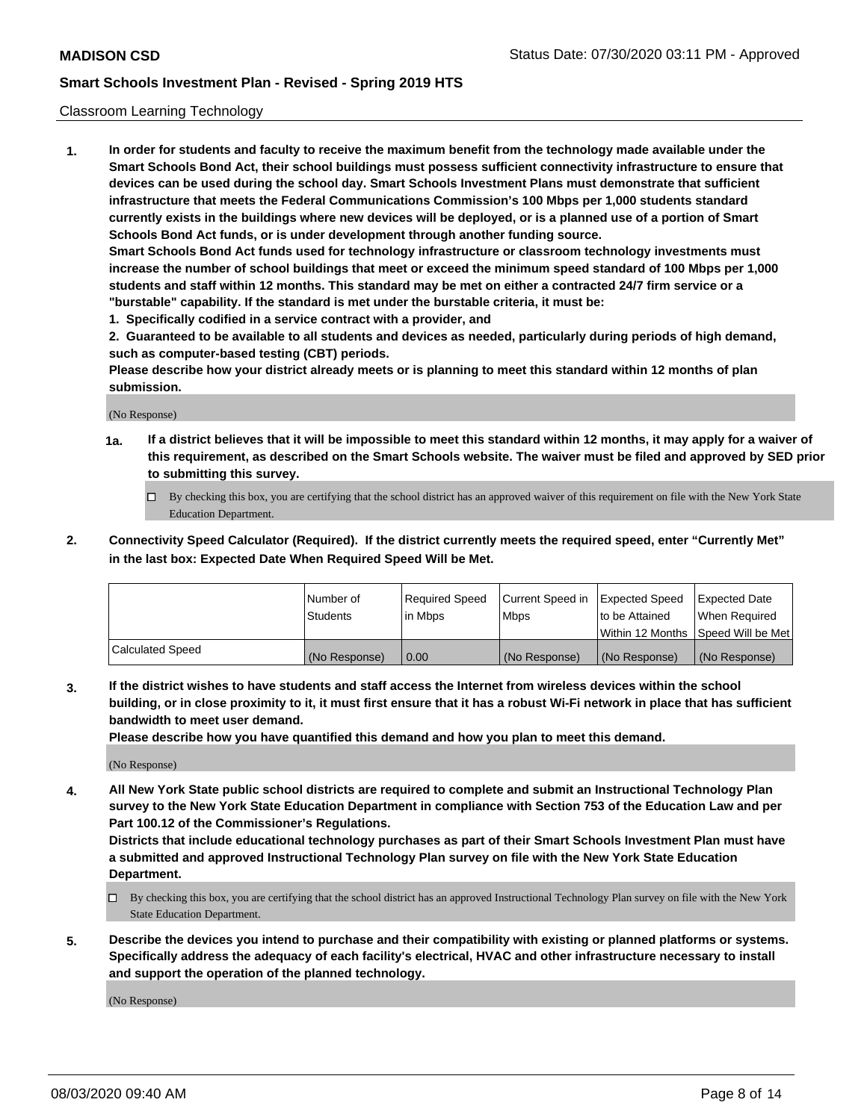### Classroom Learning Technology

**1. In order for students and faculty to receive the maximum benefit from the technology made available under the Smart Schools Bond Act, their school buildings must possess sufficient connectivity infrastructure to ensure that devices can be used during the school day. Smart Schools Investment Plans must demonstrate that sufficient infrastructure that meets the Federal Communications Commission's 100 Mbps per 1,000 students standard currently exists in the buildings where new devices will be deployed, or is a planned use of a portion of Smart Schools Bond Act funds, or is under development through another funding source. Smart Schools Bond Act funds used for technology infrastructure or classroom technology investments must increase the number of school buildings that meet or exceed the minimum speed standard of 100 Mbps per 1,000 students and staff within 12 months. This standard may be met on either a contracted 24/7 firm service or a**

- **"burstable" capability. If the standard is met under the burstable criteria, it must be:**
- **1. Specifically codified in a service contract with a provider, and**

**2. Guaranteed to be available to all students and devices as needed, particularly during periods of high demand, such as computer-based testing (CBT) periods.**

**Please describe how your district already meets or is planning to meet this standard within 12 months of plan submission.**

(No Response)

- **1a. If a district believes that it will be impossible to meet this standard within 12 months, it may apply for a waiver of this requirement, as described on the Smart Schools website. The waiver must be filed and approved by SED prior to submitting this survey.**
	- By checking this box, you are certifying that the school district has an approved waiver of this requirement on file with the New York State Education Department.
- **2. Connectivity Speed Calculator (Required). If the district currently meets the required speed, enter "Currently Met" in the last box: Expected Date When Required Speed Will be Met.**

|                  | l Number of     | Required Speed | Current Speed in | <b>Expected Speed</b> | <b>Expected Date</b>                |
|------------------|-----------------|----------------|------------------|-----------------------|-------------------------------------|
|                  | <b>Students</b> | l in Mbps      | l Mbps           | to be Attained        | When Required                       |
|                  |                 |                |                  |                       | Within 12 Months  Speed Will be Met |
| Calculated Speed | (No Response)   | 0.00           | (No Response)    | l (No Response)       | (No Response)                       |

**3. If the district wishes to have students and staff access the Internet from wireless devices within the school building, or in close proximity to it, it must first ensure that it has a robust Wi-Fi network in place that has sufficient bandwidth to meet user demand.**

**Please describe how you have quantified this demand and how you plan to meet this demand.**

(No Response)

**4. All New York State public school districts are required to complete and submit an Instructional Technology Plan survey to the New York State Education Department in compliance with Section 753 of the Education Law and per Part 100.12 of the Commissioner's Regulations.**

**Districts that include educational technology purchases as part of their Smart Schools Investment Plan must have a submitted and approved Instructional Technology Plan survey on file with the New York State Education Department.**

- By checking this box, you are certifying that the school district has an approved Instructional Technology Plan survey on file with the New York State Education Department.
- **5. Describe the devices you intend to purchase and their compatibility with existing or planned platforms or systems. Specifically address the adequacy of each facility's electrical, HVAC and other infrastructure necessary to install and support the operation of the planned technology.**

(No Response)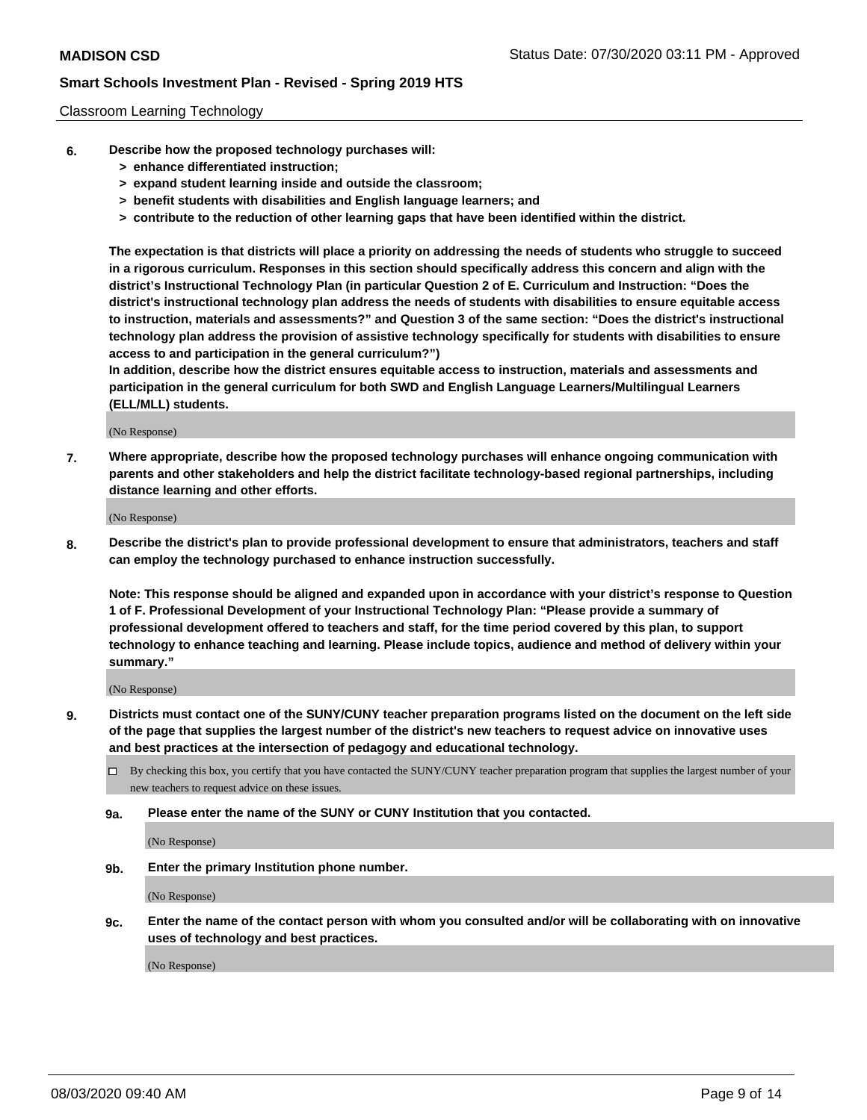### Classroom Learning Technology

- **6. Describe how the proposed technology purchases will:**
	- **> enhance differentiated instruction;**
	- **> expand student learning inside and outside the classroom;**
	- **> benefit students with disabilities and English language learners; and**
	- **> contribute to the reduction of other learning gaps that have been identified within the district.**

**The expectation is that districts will place a priority on addressing the needs of students who struggle to succeed in a rigorous curriculum. Responses in this section should specifically address this concern and align with the district's Instructional Technology Plan (in particular Question 2 of E. Curriculum and Instruction: "Does the district's instructional technology plan address the needs of students with disabilities to ensure equitable access to instruction, materials and assessments?" and Question 3 of the same section: "Does the district's instructional technology plan address the provision of assistive technology specifically for students with disabilities to ensure access to and participation in the general curriculum?")**

**In addition, describe how the district ensures equitable access to instruction, materials and assessments and participation in the general curriculum for both SWD and English Language Learners/Multilingual Learners (ELL/MLL) students.**

(No Response)

**7. Where appropriate, describe how the proposed technology purchases will enhance ongoing communication with parents and other stakeholders and help the district facilitate technology-based regional partnerships, including distance learning and other efforts.**

(No Response)

**8. Describe the district's plan to provide professional development to ensure that administrators, teachers and staff can employ the technology purchased to enhance instruction successfully.**

**Note: This response should be aligned and expanded upon in accordance with your district's response to Question 1 of F. Professional Development of your Instructional Technology Plan: "Please provide a summary of professional development offered to teachers and staff, for the time period covered by this plan, to support technology to enhance teaching and learning. Please include topics, audience and method of delivery within your summary."**

(No Response)

- **9. Districts must contact one of the SUNY/CUNY teacher preparation programs listed on the document on the left side of the page that supplies the largest number of the district's new teachers to request advice on innovative uses and best practices at the intersection of pedagogy and educational technology.**
	- By checking this box, you certify that you have contacted the SUNY/CUNY teacher preparation program that supplies the largest number of your new teachers to request advice on these issues.
	- **9a. Please enter the name of the SUNY or CUNY Institution that you contacted.**

(No Response)

**9b. Enter the primary Institution phone number.**

(No Response)

**9c. Enter the name of the contact person with whom you consulted and/or will be collaborating with on innovative uses of technology and best practices.**

(No Response)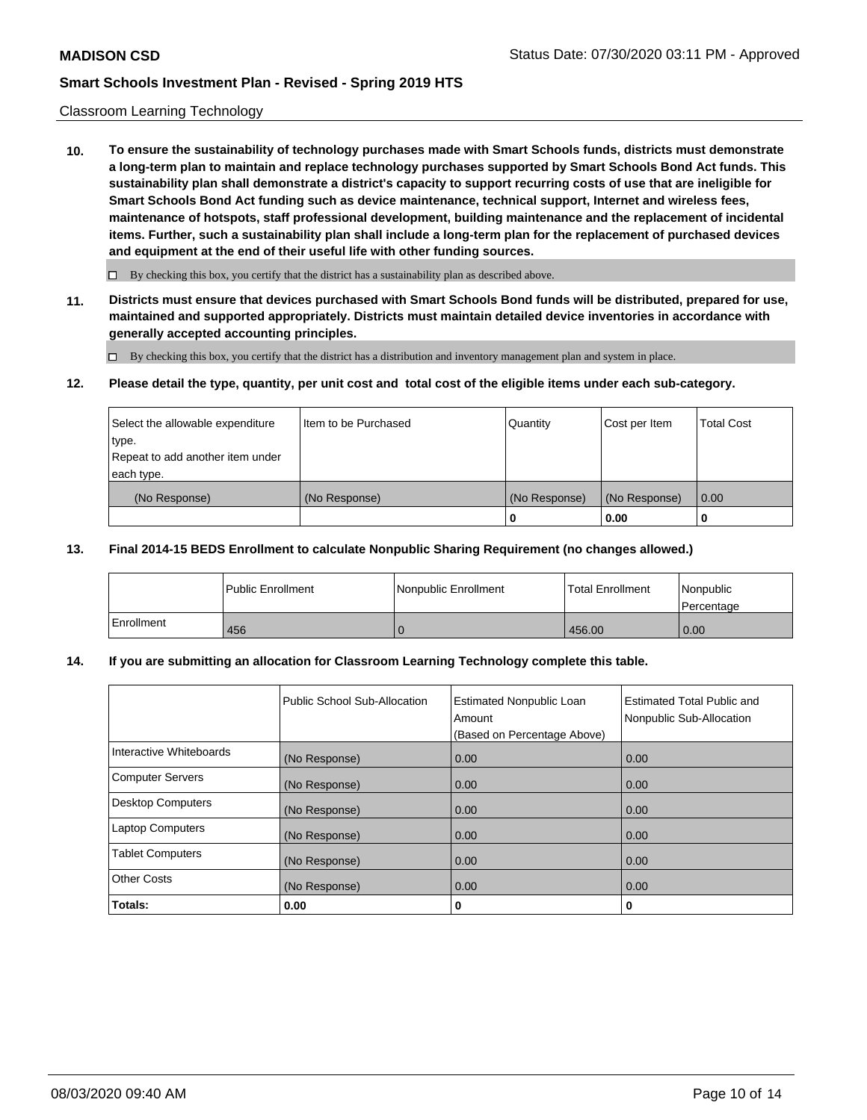### Classroom Learning Technology

**10. To ensure the sustainability of technology purchases made with Smart Schools funds, districts must demonstrate a long-term plan to maintain and replace technology purchases supported by Smart Schools Bond Act funds. This sustainability plan shall demonstrate a district's capacity to support recurring costs of use that are ineligible for Smart Schools Bond Act funding such as device maintenance, technical support, Internet and wireless fees, maintenance of hotspots, staff professional development, building maintenance and the replacement of incidental items. Further, such a sustainability plan shall include a long-term plan for the replacement of purchased devices and equipment at the end of their useful life with other funding sources.**

 $\Box$  By checking this box, you certify that the district has a sustainability plan as described above.

**11. Districts must ensure that devices purchased with Smart Schools Bond funds will be distributed, prepared for use, maintained and supported appropriately. Districts must maintain detailed device inventories in accordance with generally accepted accounting principles.**

By checking this box, you certify that the district has a distribution and inventory management plan and system in place.

### **12. Please detail the type, quantity, per unit cost and total cost of the eligible items under each sub-category.**

| Select the allowable expenditure<br>type.<br>Repeat to add another item under | Item to be Purchased | Quantity      | Cost per Item | <b>Total Cost</b> |
|-------------------------------------------------------------------------------|----------------------|---------------|---------------|-------------------|
| each type.<br>(No Response)                                                   | (No Response)        | (No Response) | (No Response) | 0.00              |
|                                                                               |                      | 0             | 0.00          |                   |

### **13. Final 2014-15 BEDS Enrollment to calculate Nonpublic Sharing Requirement (no changes allowed.)**

|              | l Public Enrollment | Nonpublic Enrollment | <b>Total Enrollment</b> | Nonpublic<br>l Percentage |
|--------------|---------------------|----------------------|-------------------------|---------------------------|
| l Enrollment | 456                 |                      | 456.00                  | 0.00                      |

### **14. If you are submitting an allocation for Classroom Learning Technology complete this table.**

|                         | Public School Sub-Allocation | <b>Estimated Nonpublic Loan</b><br>Amount<br>(Based on Percentage Above) | Estimated Total Public and<br>Nonpublic Sub-Allocation |
|-------------------------|------------------------------|--------------------------------------------------------------------------|--------------------------------------------------------|
| Interactive Whiteboards | (No Response)                | 0.00                                                                     | 0.00                                                   |
| Computer Servers        | (No Response)                | 0.00                                                                     | 0.00                                                   |
| Desktop Computers       | (No Response)                | 0.00                                                                     | 0.00                                                   |
| <b>Laptop Computers</b> | (No Response)                | 0.00                                                                     | 0.00                                                   |
| <b>Tablet Computers</b> | (No Response)                | 0.00                                                                     | 0.00                                                   |
| Other Costs             | (No Response)                | 0.00                                                                     | 0.00                                                   |
| Totals:                 | 0.00                         | 0                                                                        | 0                                                      |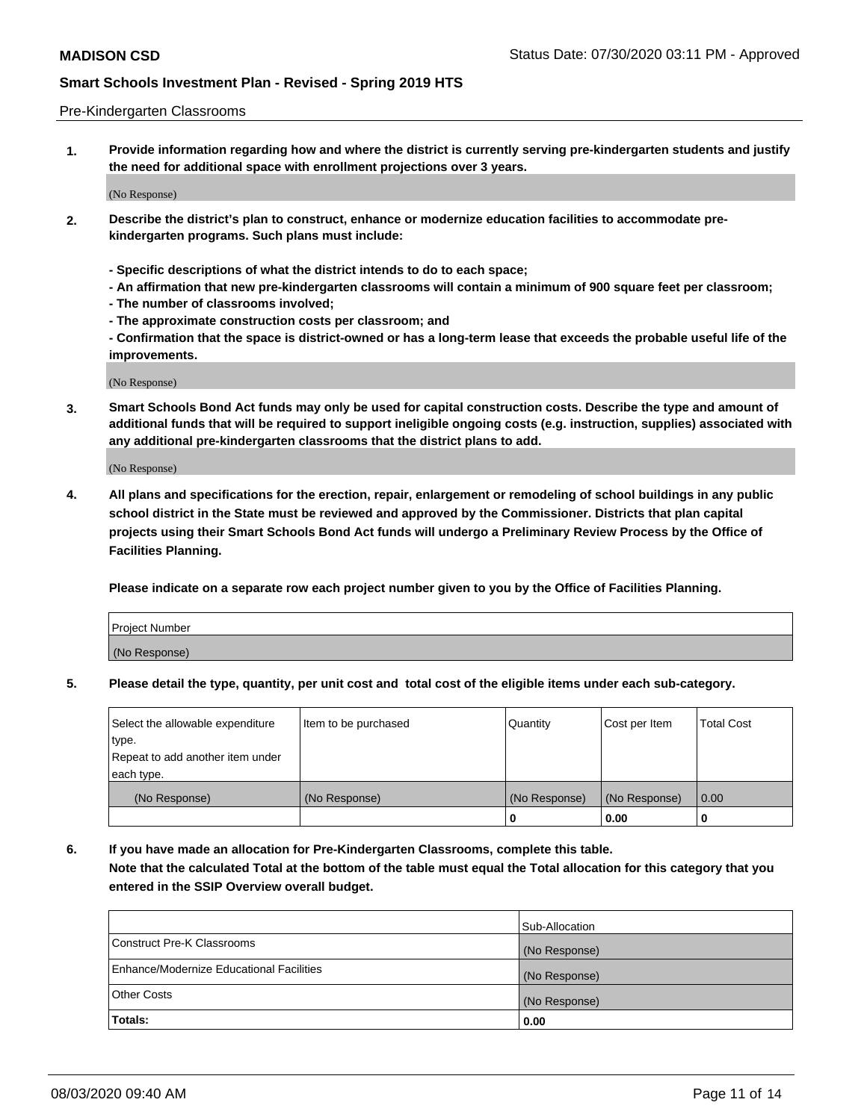### Pre-Kindergarten Classrooms

**1. Provide information regarding how and where the district is currently serving pre-kindergarten students and justify the need for additional space with enrollment projections over 3 years.**

(No Response)

- **2. Describe the district's plan to construct, enhance or modernize education facilities to accommodate prekindergarten programs. Such plans must include:**
	- **Specific descriptions of what the district intends to do to each space;**
	- **An affirmation that new pre-kindergarten classrooms will contain a minimum of 900 square feet per classroom;**
	- **The number of classrooms involved;**
	- **The approximate construction costs per classroom; and**
	- **Confirmation that the space is district-owned or has a long-term lease that exceeds the probable useful life of the improvements.**

(No Response)

**3. Smart Schools Bond Act funds may only be used for capital construction costs. Describe the type and amount of additional funds that will be required to support ineligible ongoing costs (e.g. instruction, supplies) associated with any additional pre-kindergarten classrooms that the district plans to add.**

(No Response)

**4. All plans and specifications for the erection, repair, enlargement or remodeling of school buildings in any public school district in the State must be reviewed and approved by the Commissioner. Districts that plan capital projects using their Smart Schools Bond Act funds will undergo a Preliminary Review Process by the Office of Facilities Planning.**

**Please indicate on a separate row each project number given to you by the Office of Facilities Planning.**

| Project Number |  |
|----------------|--|
| (No Response)  |  |
|                |  |

**5. Please detail the type, quantity, per unit cost and total cost of the eligible items under each sub-category.**

| Select the allowable expenditure | Item to be purchased | Quantity      | Cost per Item | <b>Total Cost</b> |
|----------------------------------|----------------------|---------------|---------------|-------------------|
| type.                            |                      |               |               |                   |
| Repeat to add another item under |                      |               |               |                   |
| each type.                       |                      |               |               |                   |
| (No Response)                    | (No Response)        | (No Response) | (No Response) | 0.00              |
|                                  |                      | U             | 0.00          |                   |

**6. If you have made an allocation for Pre-Kindergarten Classrooms, complete this table. Note that the calculated Total at the bottom of the table must equal the Total allocation for this category that you entered in the SSIP Overview overall budget.**

|                                          | Sub-Allocation |
|------------------------------------------|----------------|
| Construct Pre-K Classrooms               | (No Response)  |
| Enhance/Modernize Educational Facilities | (No Response)  |
| <b>Other Costs</b>                       | (No Response)  |
| Totals:                                  | 0.00           |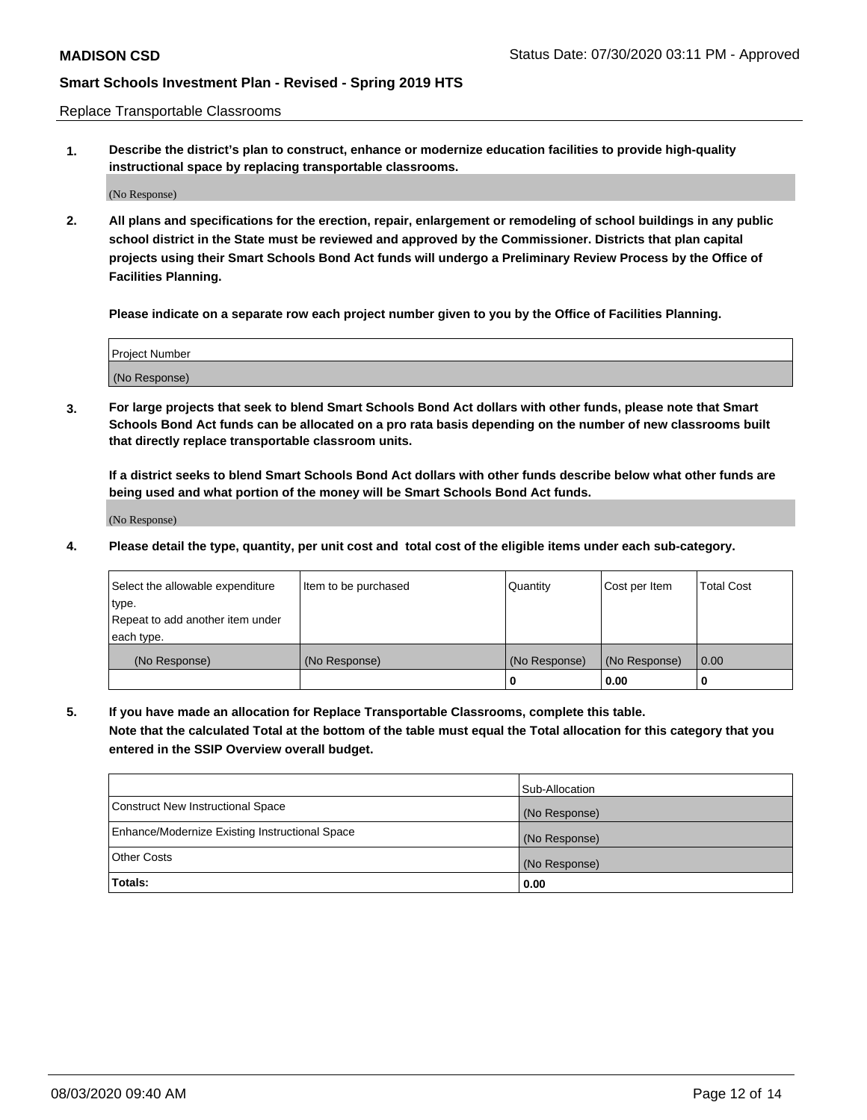Replace Transportable Classrooms

**1. Describe the district's plan to construct, enhance or modernize education facilities to provide high-quality instructional space by replacing transportable classrooms.**

(No Response)

**2. All plans and specifications for the erection, repair, enlargement or remodeling of school buildings in any public school district in the State must be reviewed and approved by the Commissioner. Districts that plan capital projects using their Smart Schools Bond Act funds will undergo a Preliminary Review Process by the Office of Facilities Planning.**

**Please indicate on a separate row each project number given to you by the Office of Facilities Planning.**

| Project Number |  |
|----------------|--|
|                |  |
|                |  |
|                |  |
| (No Response)  |  |
|                |  |
|                |  |

**3. For large projects that seek to blend Smart Schools Bond Act dollars with other funds, please note that Smart Schools Bond Act funds can be allocated on a pro rata basis depending on the number of new classrooms built that directly replace transportable classroom units.**

**If a district seeks to blend Smart Schools Bond Act dollars with other funds describe below what other funds are being used and what portion of the money will be Smart Schools Bond Act funds.**

(No Response)

**4. Please detail the type, quantity, per unit cost and total cost of the eligible items under each sub-category.**

| Select the allowable expenditure | Item to be purchased | Quantity      | Cost per Item | <b>Total Cost</b> |
|----------------------------------|----------------------|---------------|---------------|-------------------|
| type.                            |                      |               |               |                   |
| Repeat to add another item under |                      |               |               |                   |
| each type.                       |                      |               |               |                   |
| (No Response)                    | (No Response)        | (No Response) | (No Response) | 0.00              |
|                                  |                      |               | 0.00          |                   |

**5. If you have made an allocation for Replace Transportable Classrooms, complete this table. Note that the calculated Total at the bottom of the table must equal the Total allocation for this category that you entered in the SSIP Overview overall budget.**

|                                                | Sub-Allocation |
|------------------------------------------------|----------------|
| Construct New Instructional Space              | (No Response)  |
| Enhance/Modernize Existing Instructional Space | (No Response)  |
| Other Costs                                    | (No Response)  |
| Totals:                                        | 0.00           |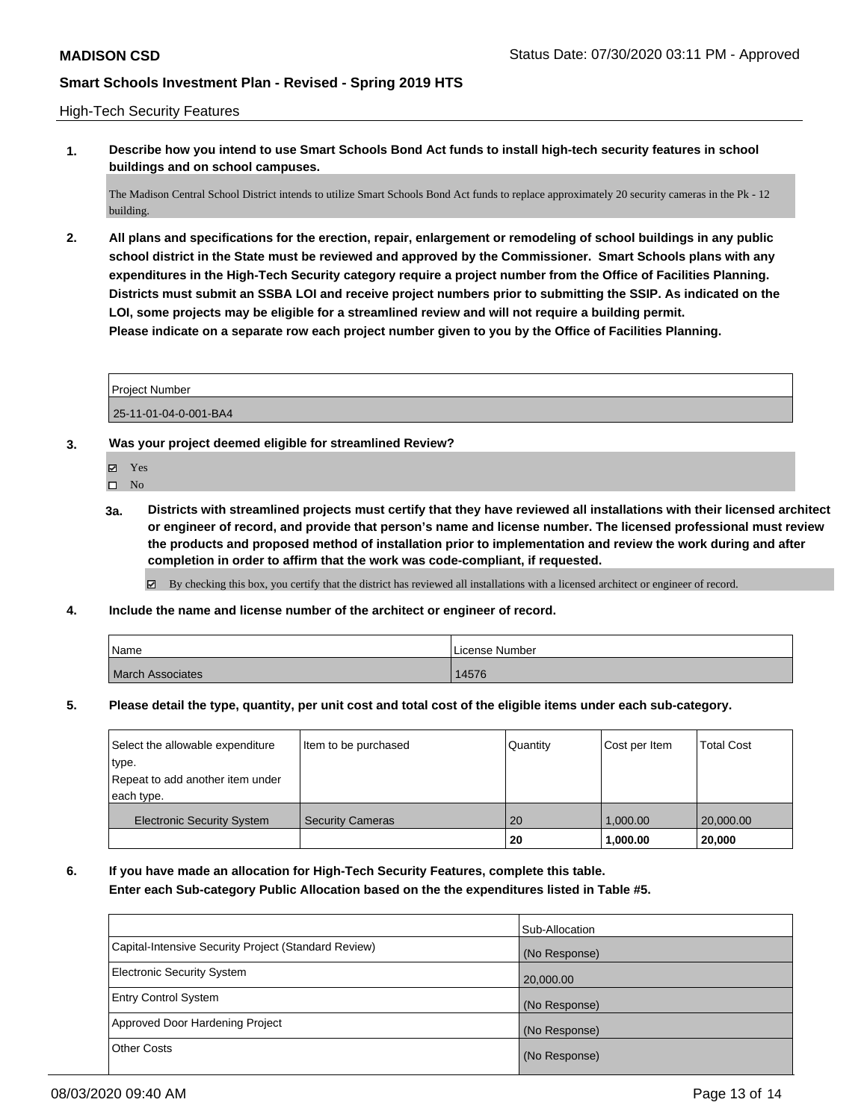### High-Tech Security Features

**1. Describe how you intend to use Smart Schools Bond Act funds to install high-tech security features in school buildings and on school campuses.**

The Madison Central School District intends to utilize Smart Schools Bond Act funds to replace approximately 20 security cameras in the Pk - 12 building.

**2. All plans and specifications for the erection, repair, enlargement or remodeling of school buildings in any public school district in the State must be reviewed and approved by the Commissioner. Smart Schools plans with any expenditures in the High-Tech Security category require a project number from the Office of Facilities Planning. Districts must submit an SSBA LOI and receive project numbers prior to submitting the SSIP. As indicated on the LOI, some projects may be eligible for a streamlined review and will not require a building permit. Please indicate on a separate row each project number given to you by the Office of Facilities Planning.**

Project Number

25-11-01-04-0-001-BA4

- **3. Was your project deemed eligible for streamlined Review?**
	- Yes
	- $\hfill \square$  No
	- **3a. Districts with streamlined projects must certify that they have reviewed all installations with their licensed architect or engineer of record, and provide that person's name and license number. The licensed professional must review the products and proposed method of installation prior to implementation and review the work during and after completion in order to affirm that the work was code-compliant, if requested.**

By checking this box, you certify that the district has reviewed all installations with a licensed architect or engineer of record.

**4. Include the name and license number of the architect or engineer of record.**

| Name                    | License Number |
|-------------------------|----------------|
| <b>March Associates</b> | 14576          |

**5. Please detail the type, quantity, per unit cost and total cost of the eligible items under each sub-category.**

| Select the allowable expenditure  | Item to be purchased    | Quantity | Cost per Item | <b>Total Cost</b> |
|-----------------------------------|-------------------------|----------|---------------|-------------------|
| type.                             |                         |          |               |                   |
| Repeat to add another item under  |                         |          |               |                   |
| each type.                        |                         |          |               |                   |
| <b>Electronic Security System</b> | <b>Security Cameras</b> | 20       | 1.000.00      | 20,000.00         |
|                                   |                         | 20       | 1,000.00      | 20,000            |

**6. If you have made an allocation for High-Tech Security Features, complete this table. Enter each Sub-category Public Allocation based on the the expenditures listed in Table #5.**

|                                                      | Sub-Allocation |
|------------------------------------------------------|----------------|
| Capital-Intensive Security Project (Standard Review) | (No Response)  |
| <b>Electronic Security System</b>                    | 20,000.00      |
| <b>Entry Control System</b>                          | (No Response)  |
| Approved Door Hardening Project                      | (No Response)  |
| <b>Other Costs</b>                                   | (No Response)  |